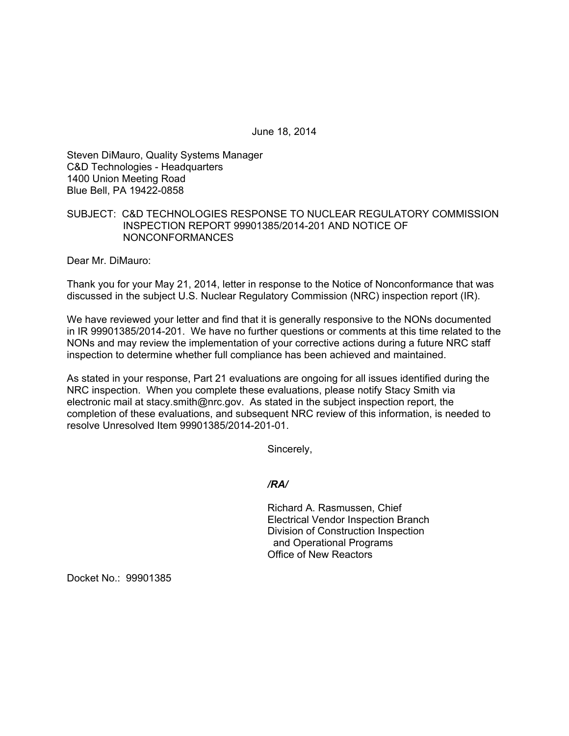June 18, 2014

Steven DiMauro, Quality Systems Manager C&D Technologies - Headquarters 1400 Union Meeting Road Blue Bell, PA 19422-0858

# SUBJECT: C&D TECHNOLOGIES RESPONSE TO NUCLEAR REGULATORY COMMISSION INSPECTION REPORT 99901385/2014-201 AND NOTICE OF NONCONFORMANCES

Dear Mr. DiMauro:

Thank you for your May 21, 2014, letter in response to the Notice of Nonconformance that was discussed in the subject U.S. Nuclear Regulatory Commission (NRC) inspection report (IR).

We have reviewed your letter and find that it is generally responsive to the NONs documented in IR 99901385/2014-201. We have no further questions or comments at this time related to the NONs and may review the implementation of your corrective actions during a future NRC staff inspection to determine whether full compliance has been achieved and maintained.

As stated in your response, Part 21 evaluations are ongoing for all issues identified during the NRC inspection. When you complete these evaluations, please notify Stacy Smith via electronic mail at stacy.smith@nrc.gov. As stated in the subject inspection report, the completion of these evaluations, and subsequent NRC review of this information, is needed to resolve Unresolved Item 99901385/2014-201-01.

Sincerely,

### */RA/*

Richard A. Rasmussen, Chief Electrical Vendor Inspection Branch Division of Construction Inspection and Operational Programs Office of New Reactors

Docket No.: 99901385